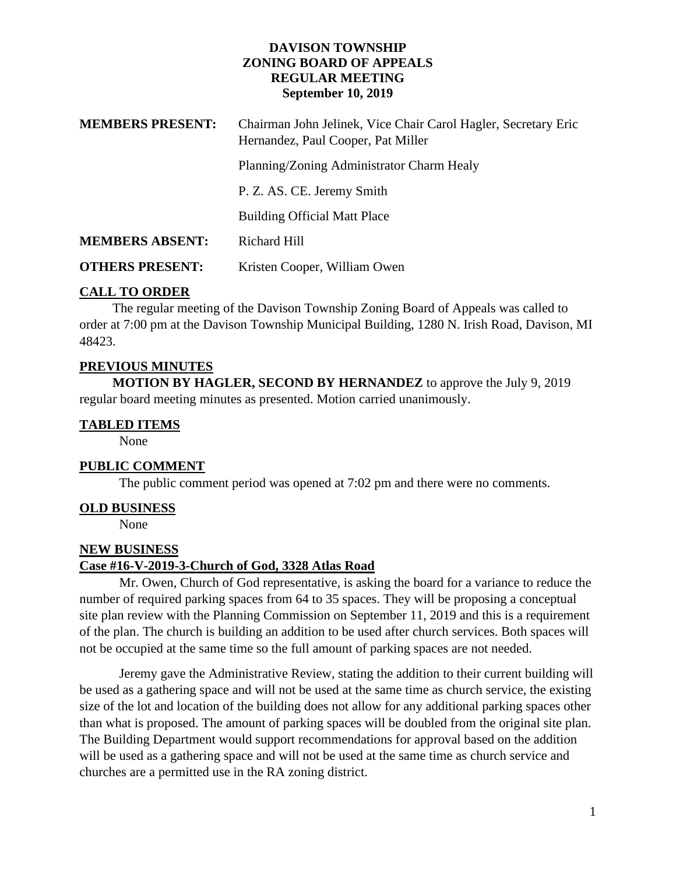#### **DAVISON TOWNSHIP ZONING BOARD OF APPEALS REGULAR MEETING September 10, 2019**

| <b>MEMBERS PRESENT:</b> | Chairman John Jelinek, Vice Chair Carol Hagler, Secretary Eric<br>Hernandez, Paul Cooper, Pat Miller |
|-------------------------|------------------------------------------------------------------------------------------------------|
|                         | Planning/Zoning Administrator Charm Healy                                                            |
|                         | P. Z. AS. CE. Jeremy Smith                                                                           |
|                         | <b>Building Official Matt Place</b>                                                                  |
| <b>MEMBERS ABSENT:</b>  | <b>Richard Hill</b>                                                                                  |
| <b>OTHERS PRESENT:</b>  | Kristen Cooper, William Owen                                                                         |

### **CALL TO ORDER**

 The regular meeting of the Davison Township Zoning Board of Appeals was called to order at 7:00 pm at the Davison Township Municipal Building, 1280 N. Irish Road, Davison, MI 48423.

## **PREVIOUS MINUTES**

 **MOTION BY HAGLER, SECOND BY HERNANDEZ** to approve the July 9, 2019 regular board meeting minutes as presented. Motion carried unanimously.

### **TABLED ITEMS**

None

### **PUBLIC COMMENT**

The public comment period was opened at 7:02 pm and there were no comments.

#### **OLD BUSINESS**

None

#### **NEW BUSINESS**

### **Case #16-V-2019-3-Church of God, 3328 Atlas Road**

Mr. Owen, Church of God representative, is asking the board for a variance to reduce the number of required parking spaces from 64 to 35 spaces. They will be proposing a conceptual site plan review with the Planning Commission on September 11, 2019 and this is a requirement of the plan. The church is building an addition to be used after church services. Both spaces will not be occupied at the same time so the full amount of parking spaces are not needed.

Jeremy gave the Administrative Review, stating the addition to their current building will be used as a gathering space and will not be used at the same time as church service, the existing size of the lot and location of the building does not allow for any additional parking spaces other than what is proposed. The amount of parking spaces will be doubled from the original site plan. The Building Department would support recommendations for approval based on the addition will be used as a gathering space and will not be used at the same time as church service and churches are a permitted use in the RA zoning district.